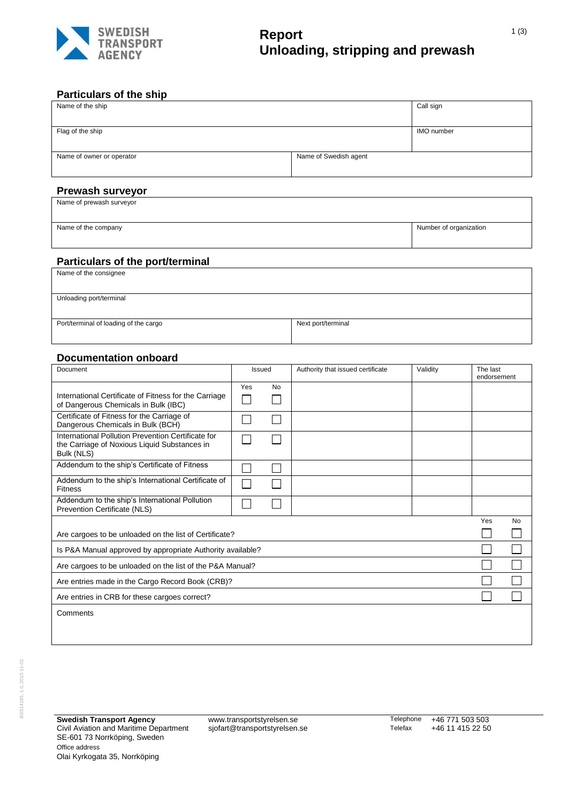

# **Report Unloading, stripping and prewash**

#### **Particulars of the ship**

| Name of the ship          |                       | Call sign         |
|---------------------------|-----------------------|-------------------|
|                           |                       |                   |
| Flag of the ship          |                       | <b>IMO</b> number |
|                           |                       |                   |
| Name of owner or operator | Name of Swedish agent |                   |
|                           |                       |                   |
|                           |                       |                   |
| <b>Prewash surveyor</b>   |                       |                   |

Name of prewash surveyor

Name of the company Number of organization

### **Particulars of the port/terminal**

| .                                     |                    |
|---------------------------------------|--------------------|
| Name of the consignee                 |                    |
|                                       |                    |
|                                       |                    |
| Unloading port/terminal               |                    |
|                                       |                    |
|                                       |                    |
| Port/terminal of loading of the cargo | Next port/terminal |
|                                       |                    |
|                                       |                    |

#### **Documentation onboard**

| Document                                                                                                         | Issued |           | Authority that issued certificate | Validity | The last<br>endorsement |           |
|------------------------------------------------------------------------------------------------------------------|--------|-----------|-----------------------------------|----------|-------------------------|-----------|
| International Certificate of Fitness for the Carriage<br>of Dangerous Chemicals in Bulk (IBC)                    | Yes    | <b>No</b> |                                   |          |                         |           |
| Certificate of Fitness for the Carriage of<br>Dangerous Chemicals in Bulk (BCH)                                  |        |           |                                   |          |                         |           |
| International Pollution Prevention Certificate for<br>the Carriage of Noxious Liquid Substances in<br>Bulk (NLS) |        |           |                                   |          |                         |           |
| Addendum to the ship's Certificate of Fitness                                                                    |        |           |                                   |          |                         |           |
| Addendum to the ship's International Certificate of<br><b>Fitness</b>                                            |        |           |                                   |          |                         |           |
| Addendum to the ship's International Pollution<br>Prevention Certificate (NLS)                                   |        |           |                                   |          |                         |           |
|                                                                                                                  |        |           |                                   |          | Yes                     | <b>No</b> |
| Are cargoes to be unloaded on the list of Certificate?                                                           |        |           |                                   |          |                         |           |
| Is P&A Manual approved by appropriate Authority available?                                                       |        |           |                                   |          |                         |           |
| Are cargoes to be unloaded on the list of the P&A Manual?                                                        |        |           |                                   |          |                         |           |
| Are entries made in the Cargo Record Book (CRB)?                                                                 |        |           |                                   |          |                         |           |
| Are entries in CRB for these cargoes correct?                                                                    |        |           |                                   |          |                         |           |
| Comments                                                                                                         |        |           |                                   |          |                         |           |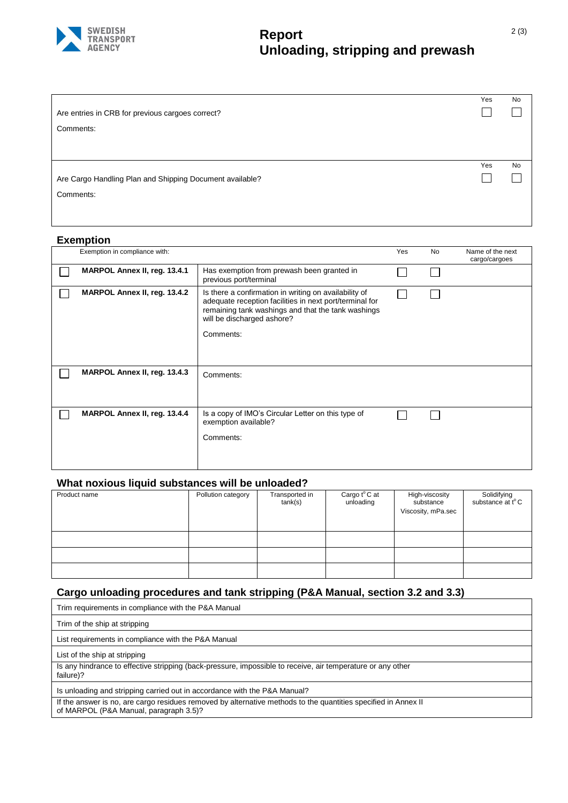

# **Report Unloading, stripping and prewash**

|                                                          | Yes | No        |
|----------------------------------------------------------|-----|-----------|
| Are entries in CRB for previous cargoes correct?         |     |           |
| Comments:                                                |     |           |
|                                                          |     |           |
|                                                          |     |           |
|                                                          | Yes | <b>No</b> |
| Are Cargo Handling Plan and Shipping Document available? |     |           |
| Comments:                                                |     |           |
|                                                          |     |           |

#### **Exemption**

| Exemption in compliance with: |                                                                                                                                                                                                                   | Yes | No | Name of the next<br>cargo/cargoes |
|-------------------------------|-------------------------------------------------------------------------------------------------------------------------------------------------------------------------------------------------------------------|-----|----|-----------------------------------|
| MARPOL Annex II, reg. 13.4.1  | Has exemption from prewash been granted in<br>previous port/terminal                                                                                                                                              |     |    |                                   |
| MARPOL Annex II, reg. 13.4.2  | Is there a confirmation in writing on availability of<br>adequate reception facilities in next port/terminal for<br>remaining tank washings and that the tank washings<br>will be discharged ashore?<br>Comments: |     |    |                                   |
| MARPOL Annex II, reg. 13.4.3  | Comments:                                                                                                                                                                                                         |     |    |                                   |
| MARPOL Annex II, reg. 13.4.4  | Is a copy of IMO's Circular Letter on this type of<br>exemption available?<br>Comments:                                                                                                                           |     |    |                                   |

### **What noxious liquid substances will be unloaded?**

| Product name | Pollution category | Transported in<br>tank(s) | Cargo t°C at<br>unloading | High-viscosity<br>substance<br>Viscosity, mPa.sec | Solidifying<br>substance at t°C |
|--------------|--------------------|---------------------------|---------------------------|---------------------------------------------------|---------------------------------|
|              |                    |                           |                           |                                                   |                                 |
|              |                    |                           |                           |                                                   |                                 |
|              |                    |                           |                           |                                                   |                                 |

# **Cargo unloading procedures and tank stripping (P&A Manual, section 3.2 and 3.3)**

| Trim requirements in compliance with the P&A Manual                                                                                                      |
|----------------------------------------------------------------------------------------------------------------------------------------------------------|
| Trim of the ship at stripping                                                                                                                            |
| List requirements in compliance with the P&A Manual                                                                                                      |
| List of the ship at stripping                                                                                                                            |
| Is any hindrance to effective stripping (back-pressure, impossible to receive, air temperature or any other<br>failure)?                                 |
| Is unloading and stripping carried out in accordance with the P&A Manual?                                                                                |
| If the answer is no, are cargo residues removed by alternative methods to the quantities specified in Annex II<br>of MARPOL (P&A Manual, paragraph 3.5)? |